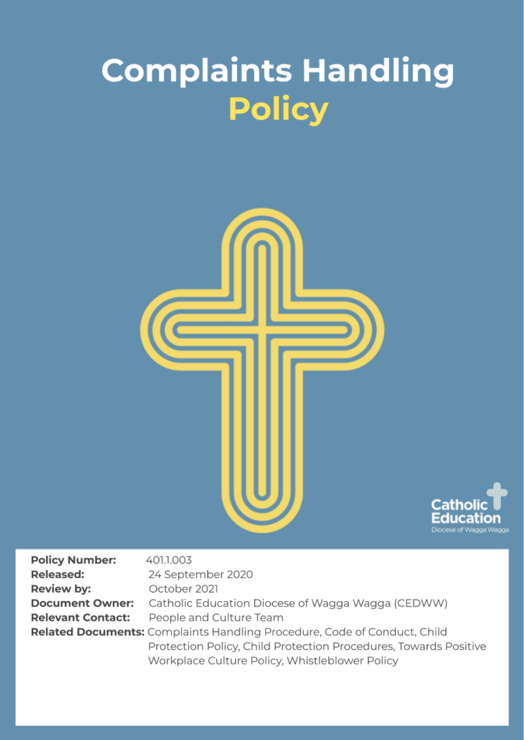# **Complaints Handling Policy**





| <b>Policy Number:</b>    | 401.1.003                                                                |
|--------------------------|--------------------------------------------------------------------------|
| <b>Released:</b>         | 24 September 2020                                                        |
| Review by:               | October 2021                                                             |
| <b>Document Owner:</b>   | Catholic Education Diocese of Wagga Wagga (CEDWW)                        |
| <b>Relevant Contact:</b> | People and Culture Team                                                  |
|                          | Related Documents: Complaints Handling Procedure, Code of Conduct, Child |
|                          | Protection Policy, Child Protection Procedures, Towards Positive         |
|                          | Workplace Culture Policy, Whistleblower Policy                           |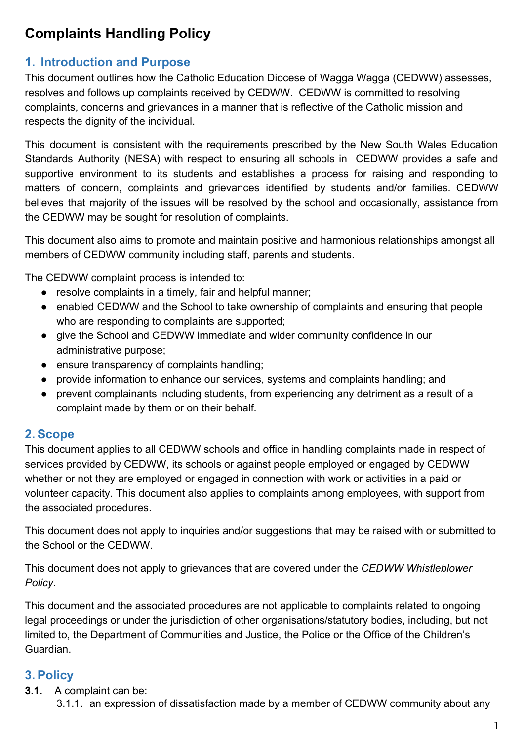## **Complaints Handling Policy**

## **1. Introduction and Purpose**

This document outlines how the Catholic Education Diocese of Wagga Wagga (CEDWW) assesses, resolves and follows up complaints received by CEDWW. CEDWW is committed to resolving complaints, concerns and grievances in a manner that is reflective of the Catholic mission and respects the dignity of the individual.

This document is consistent with the requirements prescribed by the New South Wales Education Standards Authority (NESA) with respect to ensuring all schools in CEDWW provides a safe and supportive environment to its students and establishes a process for raising and responding to matters of concern, complaints and grievances identified by students and/or families. CEDWW believes that majority of the issues will be resolved by the school and occasionally, assistance from the CEDWW may be sought for resolution of complaints.

This document also aims to promote and maintain positive and harmonious relationships amongst all members of CEDWW community including staff, parents and students.

The CEDWW complaint process is intended to:

- resolve complaints in a timely, fair and helpful manner;
- enabled CEDWW and the School to take ownership of complaints and ensuring that people who are responding to complaints are supported;
- give the School and CEDWW immediate and wider community confidence in our administrative purpose;
- ensure transparency of complaints handling;
- provide information to enhance our services, systems and complaints handling; and
- prevent complainants including students, from experiencing any detriment as a result of a complaint made by them or on their behalf.

### **2. Scope**

This document applies to all CEDWW schools and office in handling complaints made in respect of services provided by CEDWW, its schools or against people employed or engaged by CEDWW whether or not they are employed or engaged in connection with work or activities in a paid or volunteer capacity. This document also applies to complaints among employees, with support from the associated procedures.

This document does not apply to inquiries and/or suggestions that may be raised with or submitted to the School or the CEDWW.

This document does not apply to grievances that are covered under the *CEDWW Whistleblower Policy*.

This document and the associated procedures are not applicable to complaints related to ongoing legal proceedings or under the jurisdiction of other organisations/statutory bodies, including, but not limited to, the Department of Communities and Justice, the Police or the Office of the Children's Guardian.

## **3. Policy**

- **3.1.** A complaint can be:
	- 3.1.1. an expression of dissatisfaction made by a member of CEDWW community about any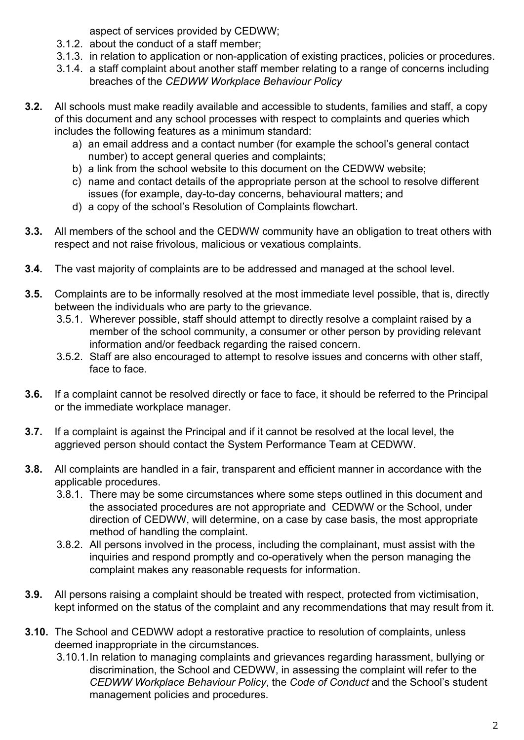aspect of services provided by CEDWW;

- 3.1.2. about the conduct of a staff member;
- 3.1.3. in relation to application or non-application of existing practices, policies or procedures.
- 3.1.4. a staff complaint about another staff member relating to a range of concerns including breaches of the *CEDWW Workplace Behaviour Policy*
- **3.2.** All schools must make readily available and accessible to students, families and staff, a copy of this document and any school processes with respect to complaints and queries which includes the following features as a minimum standard:
	- a) an email address and a contact number (for example the school's general contact number) to accept general queries and complaints;
	- b) a link from the school website to this document on the CEDWW website;
	- c) name and contact details of the appropriate person at the school to resolve different issues (for example, day-to-day concerns, behavioural matters; and
	- d) a copy of the school's Resolution of Complaints flowchart.
- **3.3.** All members of the school and the CEDWW community have an obligation to treat others with respect and not raise frivolous, malicious or vexatious complaints.
- **3.4.** The vast majority of complaints are to be addressed and managed at the school level.
- **3.5.** Complaints are to be informally resolved at the most immediate level possible, that is, directly between the individuals who are party to the grievance.
	- 3.5.1. Wherever possible, staff should attempt to directly resolve a complaint raised by a member of the school community, a consumer or other person by providing relevant information and/or feedback regarding the raised concern.
	- 3.5.2. Staff are also encouraged to attempt to resolve issues and concerns with other staff, face to face.
- **3.6.** If a complaint cannot be resolved directly or face to face, it should be referred to the Principal or the immediate workplace manager.
- **3.7.** If a complaint is against the Principal and if it cannot be resolved at the local level, the aggrieved person should contact the System Performance Team at CEDWW.
- **3.8.** All complaints are handled in a fair, transparent and efficient manner in accordance with the applicable procedures.
	- 3.8.1. There may be some circumstances where some steps outlined in this document and the associated procedures are not appropriate and CEDWW or the School, under direction of CEDWW, will determine, on a case by case basis, the most appropriate method of handling the complaint.
	- 3.8.2. All persons involved in the process, including the complainant, must assist with the inquiries and respond promptly and co-operatively when the person managing the complaint makes any reasonable requests for information.
- **3.9.** All persons raising a complaint should be treated with respect, protected from victimisation, kept informed on the status of the complaint and any recommendations that may result from it.
- **3.10.** The School and CEDWW adopt a restorative practice to resolution of complaints, unless deemed inappropriate in the circumstances.
	- 3.10.1.In relation to managing complaints and grievances regarding harassment, bullying or discrimination, the School and CEDWW, in assessing the complaint will refer to the *CEDWW Workplace Behaviour Policy*, the *Code of Conduct* and the School's student management policies and procedures.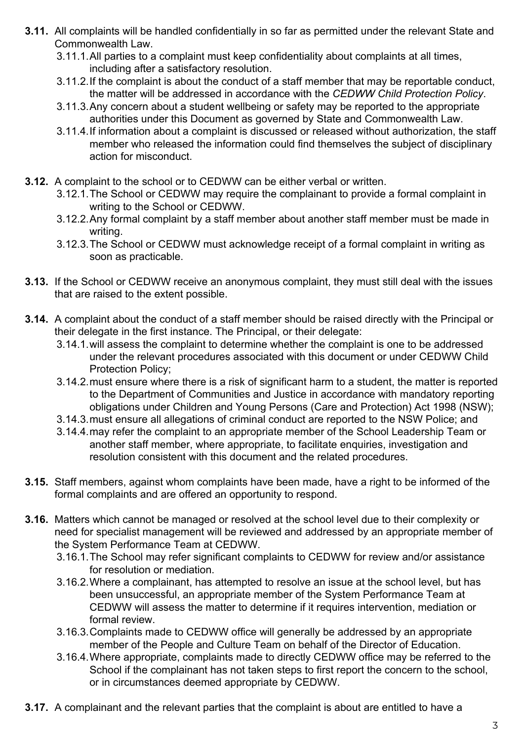- **3.11.** All complaints will be handled confidentially in so far as permitted under the relevant State and Commonwealth Law.
	- 3.11.1.All parties to a complaint must keep confidentiality about complaints at all times, including after a satisfactory resolution.
	- 3.11.2.If the complaint is about the conduct of a staff member that may be reportable conduct, the matter will be addressed in accordance with the *CEDWW Child Protection Policy*.
	- 3.11.3.Any concern about a student wellbeing or safety may be reported to the appropriate authorities under this Document as governed by State and Commonwealth Law.
	- 3.11.4.If information about a complaint is discussed or released without authorization, the staff member who released the information could find themselves the subject of disciplinary action for misconduct.
- **3.12.** A complaint to the school or to CEDWW can be either verbal or written.
	- 3.12.1.The School or CEDWW may require the complainant to provide a formal complaint in writing to the School or CEDWW.
	- 3.12.2.Any formal complaint by a staff member about another staff member must be made in writing.
	- 3.12.3.The School or CEDWW must acknowledge receipt of a formal complaint in writing as soon as practicable.
- **3.13.** If the School or CEDWW receive an anonymous complaint, they must still deal with the issues that are raised to the extent possible.
- **3.14.** A complaint about the conduct of a staff member should be raised directly with the Principal or their delegate in the first instance. The Principal, or their delegate:
	- 3.14.1.will assess the complaint to determine whether the complaint is one to be addressed under the relevant procedures associated with this document or under CEDWW Child Protection Policy;
	- 3.14.2.must ensure where there is a risk of significant harm to a student, the matter is reported to the Department of Communities and Justice in accordance with mandatory reporting obligations under Children and Young Persons (Care and Protection) Act 1998 (NSW);
	- 3.14.3.must ensure all allegations of criminal conduct are reported to the NSW Police; and
	- 3.14.4.may refer the complaint to an appropriate member of the School Leadership Team or another staff member, where appropriate, to facilitate enquiries, investigation and resolution consistent with this document and the related procedures.
- **3.15.** Staff members, against whom complaints have been made, have a right to be informed of the formal complaints and are offered an opportunity to respond.
- **3.16.** Matters which cannot be managed or resolved at the school level due to their complexity or need for specialist management will be reviewed and addressed by an appropriate member of the System Performance Team at CEDWW.
	- 3.16.1.The School may refer significant complaints to CEDWW for review and/or assistance for resolution or mediation.
	- 3.16.2.Where a complainant, has attempted to resolve an issue at the school level, but has been unsuccessful, an appropriate member of the System Performance Team at CEDWW will assess the matter to determine if it requires intervention, mediation or formal review.
	- 3.16.3.Complaints made to CEDWW office will generally be addressed by an appropriate member of the People and Culture Team on behalf of the Director of Education.
	- 3.16.4.Where appropriate, complaints made to directly CEDWW office may be referred to the School if the complainant has not taken steps to first report the concern to the school, or in circumstances deemed appropriate by CEDWW.
- **3.17.** A complainant and the relevant parties that the complaint is about are entitled to have a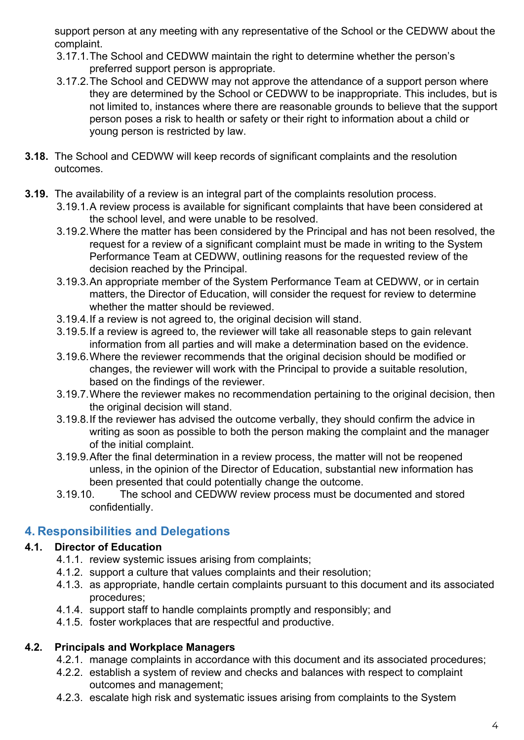support person at any meeting with any representative of the School or the CEDWW about the complaint.

- 3.17.1.The School and CEDWW maintain the right to determine whether the person's preferred support person is appropriate.
- 3.17.2.The School and CEDWW may not approve the attendance of a support person where they are determined by the School or CEDWW to be inappropriate. This includes, but is not limited to, instances where there are reasonable grounds to believe that the support person poses a risk to health or safety or their right to information about a child or young person is restricted by law.
- **3.18.** The School and CEDWW will keep records of significant complaints and the resolution outcomes.
- **3.19.** The availability of a review is an integral part of the complaints resolution process.
	- 3.19.1.A review process is available for significant complaints that have been considered at the school level, and were unable to be resolved.
	- 3.19.2.Where the matter has been considered by the Principal and has not been resolved, the request for a review of a significant complaint must be made in writing to the System Performance Team at CEDWW, outlining reasons for the requested review of the decision reached by the Principal.
	- 3.19.3.An appropriate member of the System Performance Team at CEDWW, or in certain matters, the Director of Education, will consider the request for review to determine whether the matter should be reviewed.
	- 3.19.4.If a review is not agreed to, the original decision will stand.
	- 3.19.5.If a review is agreed to, the reviewer will take all reasonable steps to gain relevant information from all parties and will make a determination based on the evidence.
	- 3.19.6.Where the reviewer recommends that the original decision should be modified or changes, the reviewer will work with the Principal to provide a suitable resolution, based on the findings of the reviewer.
	- 3.19.7.Where the reviewer makes no recommendation pertaining to the original decision, then the original decision will stand.
	- 3.19.8.If the reviewer has advised the outcome verbally, they should confirm the advice in writing as soon as possible to both the person making the complaint and the manager of the initial complaint.
	- 3.19.9.After the final determination in a review process, the matter will not be reopened unless, in the opinion of the Director of Education, substantial new information has been presented that could potentially change the outcome.
	- 3.19.10. The school and CEDWW review process must be documented and stored confidentially.

## **4. Responsibilities and Delegations**

### **4.1. Director of Education**

- 4.1.1. review systemic issues arising from complaints;
- 4.1.2. support a culture that values complaints and their resolution;
- 4.1.3. as appropriate, handle certain complaints pursuant to this document and its associated procedures;
- 4.1.4. support staff to handle complaints promptly and responsibly; and
- 4.1.5. foster workplaces that are respectful and productive.

#### **4.2. Principals and Workplace Managers**

- 4.2.1. manage complaints in accordance with this document and its associated procedures;
- 4.2.2. establish a system of review and checks and balances with respect to complaint outcomes and management;
- 4.2.3. escalate high risk and systematic issues arising from complaints to the System